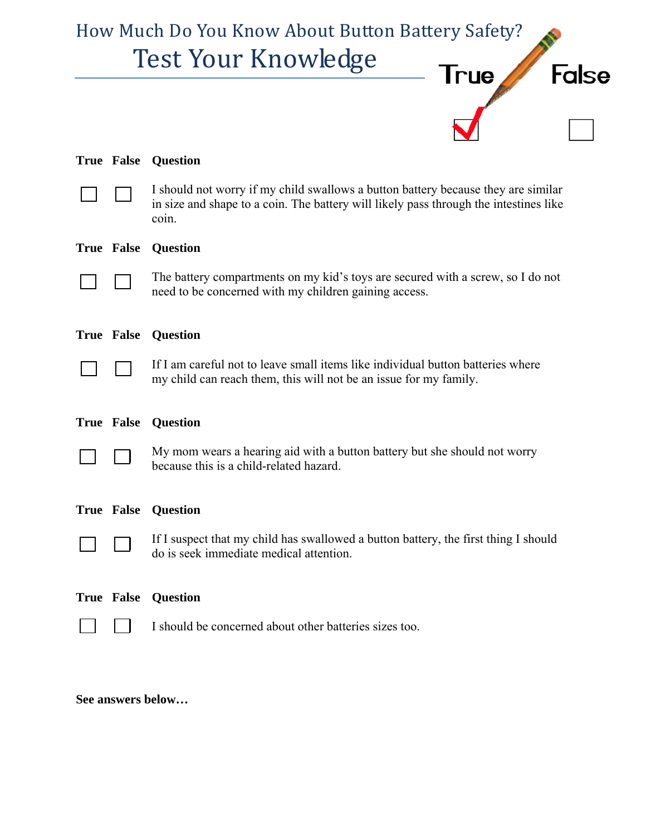

|                   | <b>True False Question</b>                                                                                                                                                          |
|-------------------|-------------------------------------------------------------------------------------------------------------------------------------------------------------------------------------|
|                   | I should not worry if my child swallows a button battery because they are similar<br>in size and shape to a coin. The battery will likely pass through the intestines like<br>coin. |
| True False        | <b>Question</b>                                                                                                                                                                     |
|                   | The battery compartments on my kid's toys are secured with a screw, so I do not<br>need to be concerned with my children gaining access.                                            |
| <b>True False</b> | <b>Question</b>                                                                                                                                                                     |
|                   | If I am careful not to leave small items like individual button batteries where<br>my child can reach them, this will not be an issue for my family.                                |
|                   | <b>True False Question</b>                                                                                                                                                          |
|                   |                                                                                                                                                                                     |
|                   | My mom wears a hearing aid with a button battery but she should not worry<br>because this is a child-related hazard.                                                                |
| <b>True False</b> | <b>Question</b>                                                                                                                                                                     |
|                   | If I suspect that my child has swallowed a button battery, the first thing I should<br>do is seek immediate medical attention.                                                      |
| <b>True False</b> | <b>Question</b>                                                                                                                                                                     |

**See answers below…**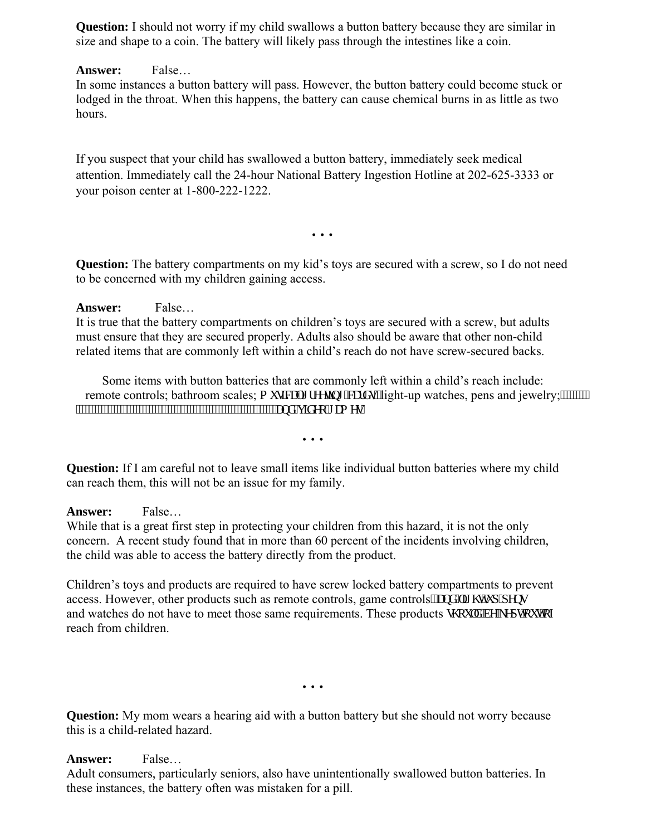**Question:** I should not worry if my child swallows a button battery because they are similar in size and shape to a coin. The battery will likely pass through the intestines like a coin.

## **Answer:** False…

In some instances a button battery will pass. However, the button battery could become stuck or lodged in the throat. When this happens, the battery can cause chemical burns in as little as two hours.

If you suspect that your child has swallowed a button battery, immediately seek medical attention. Immediately call the 24-hour National Battery Ingestion Hotline at 202-625-3333 or your poison center at 1-800-222-1222.

…

**Question:** The battery compartments on my kid's toys are secured with a screw, so I do not need to be concerned with my children gaining access.

## **Answer:** False…

It is true that the battery compartments on children's toys are secured with a screw, but adults must ensure that they are secured properly. Adults also should be aware that other non-child related items that are commonly left within a child's reach do not have screw-secured backs.

Some items with button batteries that are commonly left within a child's reach include: remote controls; bathroom scales; o wukecn'i tggvkpi "ectfu="light-up watches, pens and jewelry;"""""""" Temole controls, cannot and control for the control of "xkf gq" co gu"

…

**Question:** If I am careful not to leave small items like individual button batteries where my child can reach them, this will not be an issue for my family.

#### **Answer:** False…

While that is a great first step in protecting your children from this hazard, it is not the only concern. A recent study found that in more than 60 percent of the incidents involving children, the child was able to access the battery directly from the product.

Children's toys and products are required to have screw locked battery compartments to prevent access. However, other products such as remote controls, game controls "cpf" in  $\vec{v}$  was in  $\vec{v}$  was and watches do not have to meet those same requirements. These products uj qwif "dg"ngr v"qw"qh reach from children.

…

**Question:** My mom wears a hearing aid with a button battery but she should not worry because this is a child-related hazard.

# **Answer:** False…

Adult consumers, particularly seniors, also have unintentionally swallowed button batteries. In these instances, the battery often was mistaken for a pill.